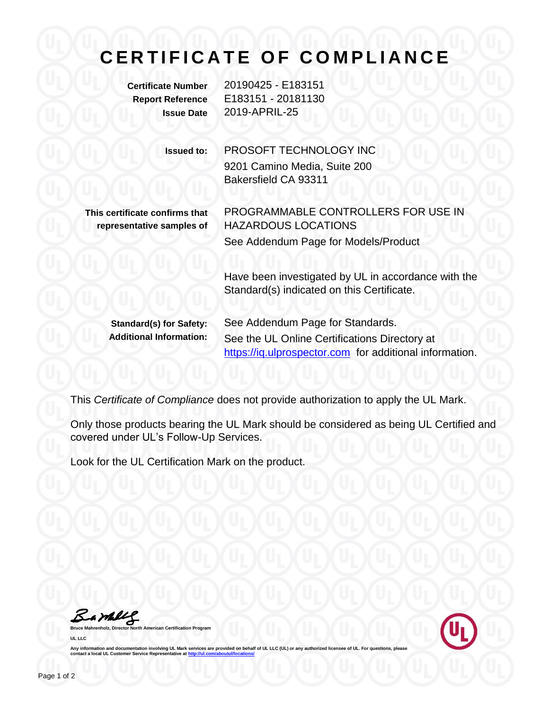## **C E R T I F I C A T E O F C O M P L I A N C E**

**Certificate Number** 20190425 - E183151 **Report Reference** E183151 - 20181130 **Issue Date** 2019-APRIL-25

> **Issued to:** PROSOFT TECHNOLOGY INC 9201 Camino Media, Suite 200 Bakersfield CA 93311

**This certificate confirms that representative samples of**

PROGRAMMABLE CONTROLLERS FOR USE IN HAZARDOUS LOCATIONS See Addendum Page for Models/Product

Have been investigated by UL in accordance with the Standard(s) indicated on this Certificate.

**Standard(s) for Safety:** See Addendum Page for Standards. **Additional Information:** See the UL Online Certifications Directory at https://iq.ulprospector.com for additional information.

This *Certificate of Compliance* does not provide authorization to apply the UL Mark.

Only those products bearing the UL Mark should be considered as being UL Certified and covered under UL's Follow-Up Services.

Look for the UL Certification Mark on the product.

Bambly

**American Certification Program UL LLC**



Any information and documentation involving UL Mark services are provided on behalf of UL LLC (UL) or any authorized licensee of UL. For questions, please<br>contact a local UL Customer Service Representative at <u>http://ul.co</u>